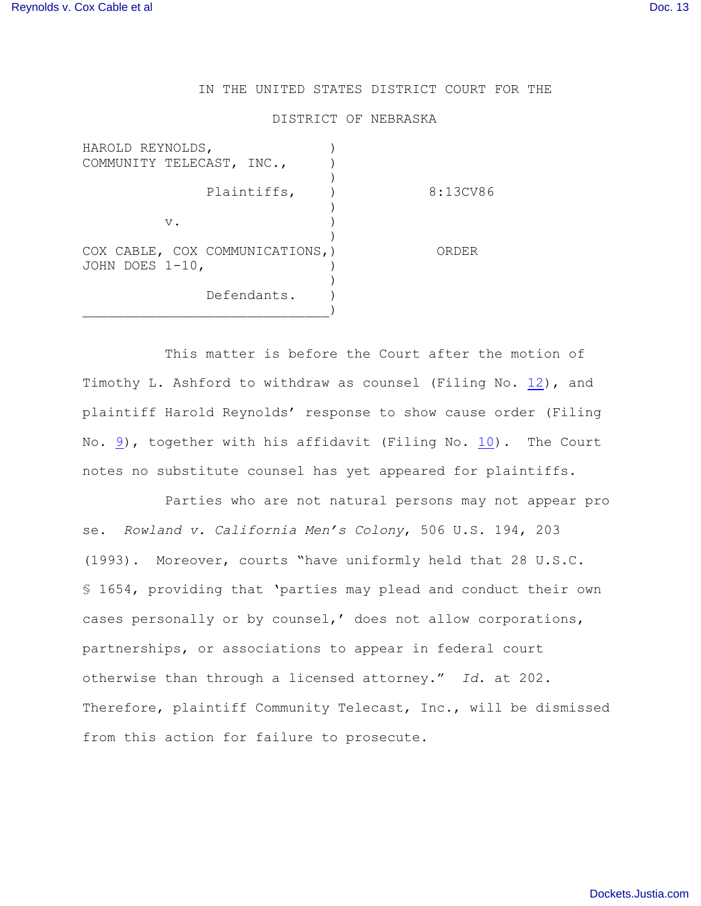## IN THE UNITED STATES DISTRICT COURT FOR THE

## DISTRICT OF NEBRASKA

| HAROLD REYNOLDS,                 |             |          |
|----------------------------------|-------------|----------|
| COMMUNITY TELECAST, INC.,        |             |          |
|                                  |             |          |
|                                  | Plaintiffs, | 8:13CV86 |
|                                  |             |          |
| $V$ .                            |             |          |
|                                  |             |          |
| COX CABLE, COX COMMUNICATIONS, ) |             | ORDER    |
| JOHN DOES $1-10$ ,               |             |          |
|                                  |             |          |
|                                  | Defendants. |          |
|                                  |             |          |

This matter is before the Court after the motion of Timothy L. Ashford to withdraw as counsel (Filing No. [12](http://ecf.ned.uscourts.gov/doc1/11302821794)), and plaintiff Harold Reynolds' response to show cause order (Filing No. [9](http://ecf.ned.uscourts.gov/doc1/11302778607)), together with his affidavit (Filing No. [10](http://ecf.ned.uscourts.gov/doc1/11302778612)). The Court notes no substitute counsel has yet appeared for plaintiffs.

Parties who are not natural persons may not appear pro se. *Rowland v. California Men's Colony*, 506 U.S. 194, 203 (1993). Moreover, courts "have uniformly held that 28 U.S.C. § 1654, providing that 'parties may plead and conduct their own cases personally or by counsel,' does not allow corporations, partnerships, or associations to appear in federal court otherwise than through a licensed attorney." *Id*. at 202. Therefore, plaintiff Community Telecast, Inc., will be dismissed from this action for failure to prosecute.